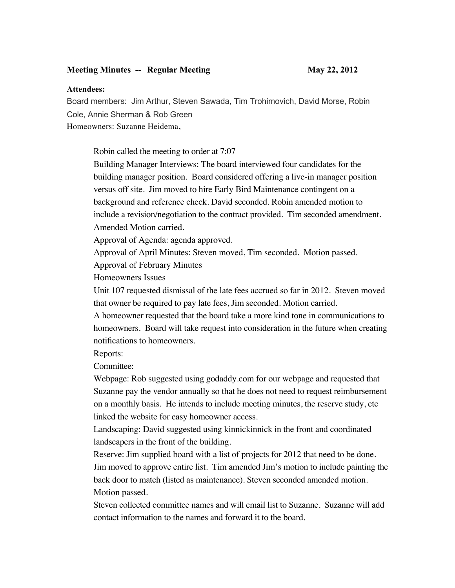## **Meeting Minutes -- Regular Meeting May 22, 2012**

## **Attendees:**

Board members: Jim Arthur, Steven Sawada, Tim Trohimovich, David Morse, Robin Cole, Annie Sherman & Rob Green Homeowners: Suzanne Heidema,

Robin called the meeting to order at 7:07

Building Manager Interviews: The board interviewed four candidates for the building manager position. Board considered offering a live-in manager position versus off site. Jim moved to hire Early Bird Maintenance contingent on a background and reference check. David seconded. Robin amended motion to include a revision/negotiation to the contract provided. Tim seconded amendment. Amended Motion carried.

Approval of Agenda: agenda approved.

Approval of April Minutes: Steven moved, Tim seconded. Motion passed.

Approval of February Minutes

Homeowners Issues

Unit 107 requested dismissal of the late fees accrued so far in 2012. Steven moved that owner be required to pay late fees, Jim seconded. Motion carried.

A homeowner requested that the board take a more kind tone in communications to homeowners. Board will take request into consideration in the future when creating notifications to homeowners.

Reports:

Committee:

Webpage: Rob suggested using godaddy.com for our webpage and requested that Suzanne pay the vendor annually so that he does not need to request reimbursement on a monthly basis. He intends to include meeting minutes, the reserve study, etc linked the website for easy homeowner access.

Landscaping: David suggested using kinnickinnick in the front and coordinated landscapers in the front of the building.

Reserve: Jim supplied board with a list of projects for 2012 that need to be done. Jim moved to approve entire list. Tim amended Jim's motion to include painting the back door to match (listed as maintenance). Steven seconded amended motion. Motion passed.

Steven collected committee names and will email list to Suzanne. Suzanne will add contact information to the names and forward it to the board.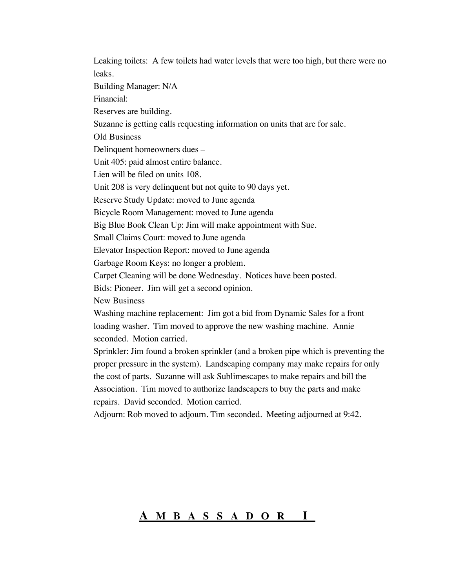Leaking toilets: A few toilets had water levels that were too high, but there were no leaks. Building Manager: N/A Financial: Reserves are building. Suzanne is getting calls requesting information on units that are for sale. Old Business Delinquent homeowners dues – Unit 405: paid almost entire balance. Lien will be filed on units 108. Unit 208 is very delinquent but not quite to 90 days yet. Reserve Study Update: moved to June agenda Bicycle Room Management: moved to June agenda Big Blue Book Clean Up: Jim will make appointment with Sue. Small Claims Court: moved to June agenda Elevator Inspection Report: moved to June agenda Garbage Room Keys: no longer a problem. Carpet Cleaning will be done Wednesday. Notices have been posted. Bids: Pioneer. Jim will get a second opinion. New Business Washing machine replacement: Jim got a bid from Dynamic Sales for a front loading washer. Tim moved to approve the new washing machine. Annie seconded. Motion carried. Sprinkler: Jim found a broken sprinkler (and a broken pipe which is preventing the proper pressure in the system). Landscaping company may make repairs for only the cost of parts. Suzanne will ask Sublimescapes to make repairs and bill the Association. Tim moved to authorize landscapers to buy the parts and make repairs. David seconded. Motion carried. Adjourn: Rob moved to adjourn. Tim seconded. Meeting adjourned at 9:42.

## **A MBASSADOR I**